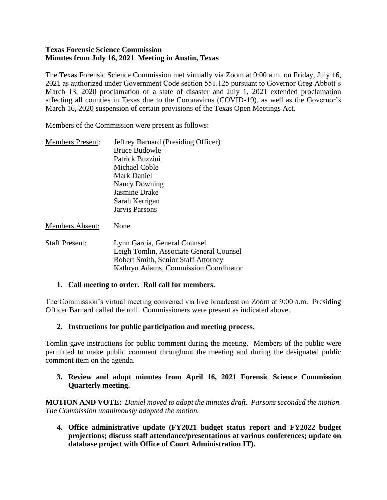#### **Texas Forensic Science Commission Minutes from July 16, 2021 Meeting in Austin, Texas**

The Texas Forensic Science Commission met virtually via Zoom at 9:00 a.m. on Friday, July 16, 2021 as authorized under Government Code section 551.125 pursuant to Governor Greg Abbott's March 13, 2020 proclamation of a state of disaster and July 1, 2021 extended proclamation affecting all counties in Texas due to the Coronavirus (COVID-19), as well as the Governor's March 16, 2020 suspension of certain provisions of the Texas Open Meetings Act.

Members of the Commission were present as follows:

| <b>Members Present:</b> | Jeffrey Barnard (Presiding Officer) |
|-------------------------|-------------------------------------|
|                         | <b>Bruce Budowle</b>                |
|                         | Patrick Buzzini                     |
|                         | Michael Coble                       |
|                         | <b>Mark Daniel</b>                  |
|                         | Nancy Downing                       |
|                         | Jasmine Drake                       |
|                         | Sarah Kerrigan                      |
|                         | Jarvis Parsons                      |
|                         |                                     |

Members Absent: None

Staff Present: Lynn Garcia, General Counsel Leigh Tomlin, Associate General Counsel Robert Smith, Senior Staff Attorney Kathryn Adams, Commission Coordinator

# **1. Call meeting to order. Roll call for members.**

The Commission's virtual meeting convened via live broadcast on Zoom at 9:00 a.m. Presiding Officer Barnard called the roll. Commissioners were present as indicated above.

# **2. Instructions for public participation and meeting process.**

Tomlin gave instructions for public comment during the meeting. Members of the public were permitted to make public comment throughout the meeting and during the designated public comment item on the agenda.

#### **3. Review and adopt minutes from April 16, 2021 Forensic Science Commission Quarterly meeting.**

**MOTION AND VOTE:** *Daniel moved to adopt the minutes draft. Parsons seconded the motion. The Commission unanimously adopted the motion.*

**4. Office administrative update (FY2021 budget status report and FY2022 budget projections; discuss staff attendance/presentations at various conferences; update on database project with Office of Court Administration IT).**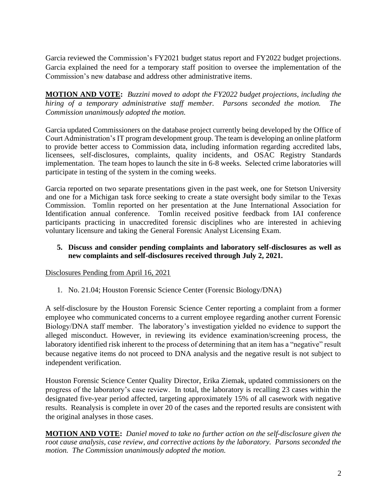Garcia reviewed the Commission's FY2021 budget status report and FY2022 budget projections. Garcia explained the need for a temporary staff position to oversee the implementation of the Commission's new database and address other administrative items.

**MOTION AND VOTE:** *Buzzini moved to adopt the FY2022 budget projections, including the hiring of a temporary administrative staff member. Parsons seconded the motion. The Commission unanimously adopted the motion.*

Garcia updated Commissioners on the database project currently being developed by the Office of Court Administration's IT program development group. The team is developing an online platform to provide better access to Commission data, including information regarding accredited labs, licensees, self-disclosures, complaints, quality incidents, and OSAC Registry Standards implementation. The team hopes to launch the site in 6-8 weeks. Selected crime laboratories will participate in testing of the system in the coming weeks.

Garcia reported on two separate presentations given in the past week, one for Stetson University and one for a Michigan task force seeking to create a state oversight body similar to the Texas Commission. Tomlin reported on her presentation at the June International Association for Identification annual conference. Tomlin received positive feedback from IAI conference participants practicing in unaccredited forensic disciplines who are interested in achieving voluntary licensure and taking the General Forensic Analyst Licensing Exam.

#### **5. Discuss and consider pending complaints and laboratory self-disclosures as well as new complaints and self-disclosures received through July 2, 2021.**

Disclosures Pending from April 16, 2021

1. No. 21.04; Houston Forensic Science Center (Forensic Biology/DNA)

A self-disclosure by the Houston Forensic Science Center reporting a complaint from a former employee who communicated concerns to a current employee regarding another current Forensic Biology/DNA staff member. The laboratory's investigation yielded no evidence to support the alleged misconduct. However, in reviewing its evidence examination/screening process, the laboratory identified risk inherent to the process of determining that an item has a "negative" result because negative items do not proceed to DNA analysis and the negative result is not subject to independent verification.

Houston Forensic Science Center Quality Director, Erika Ziemak, updated commissioners on the progress of the laboratory's case review. In total, the laboratory is recalling 23 cases within the designated five-year period affected, targeting approximately 15% of all casework with negative results. Reanalysis is complete in over 20 of the cases and the reported results are consistent with the original analyses in those cases.

**MOTION AND VOTE:** *Daniel moved to take no further action on the self-disclosure given the root cause analysis, case review, and corrective actions by the laboratory. Parsons seconded the motion. The Commission unanimously adopted the motion.*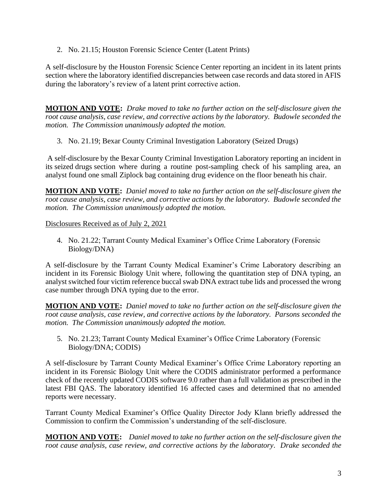2. No. 21.15; Houston Forensic Science Center (Latent Prints)

A self-disclosure by the Houston Forensic Science Center reporting an incident in its latent prints section where the laboratory identified discrepancies between case records and data stored in AFIS during the laboratory's review of a latent print corrective action.

**MOTION AND VOTE:** *Drake moved to take no further action on the self-disclosure given the root cause analysis, case review, and corrective actions by the laboratory. Budowle seconded the motion. The Commission unanimously adopted the motion.*

3. No. 21.19; Bexar County Criminal Investigation Laboratory (Seized Drugs)

A self-disclosure by the Bexar County Criminal Investigation Laboratory reporting an incident in its seized drugs section where during a routine post-sampling check of his sampling area, an analyst found one small Ziplock bag containing drug evidence on the floor beneath his chair.

**MOTION AND VOTE:** *Daniel moved to take no further action on the self-disclosure given the root cause analysis, case review, and corrective actions by the laboratory. Budowle seconded the motion. The Commission unanimously adopted the motion.*

Disclosures Received as of July 2, 2021

4. No. 21.22; Tarrant County Medical Examiner's Office Crime Laboratory (Forensic Biology/DNA)

A self-disclosure by the Tarrant County Medical Examiner's Crime Laboratory describing an incident in its Forensic Biology Unit where, following the quantitation step of DNA typing, an analyst switched four victim reference buccal swab DNA extract tube lids and processed the wrong case number through DNA typing due to the error.

**MOTION AND VOTE:** *Daniel moved to take no further action on the self-disclosure given the root cause analysis, case review, and corrective actions by the laboratory. Parsons seconded the motion. The Commission unanimously adopted the motion.*

5. No. 21.23; Tarrant County Medical Examiner's Office Crime Laboratory (Forensic Biology/DNA; CODIS)

A self-disclosure by Tarrant County Medical Examiner's Office Crime Laboratory reporting an incident in its Forensic Biology Unit where the CODIS administrator performed a performance check of the recently updated CODIS software 9.0 rather than a full validation as prescribed in the latest FBI QAS. The laboratory identified 16 affected cases and determined that no amended reports were necessary.

Tarrant County Medical Examiner's Office Quality Director Jody Klann briefly addressed the Commission to confirm the Commission's understanding of the self-disclosure.

**MOTION AND VOTE:** *Daniel moved to take no further action on the self-disclosure given the root cause analysis, case review, and corrective actions by the laboratory. Drake seconded the*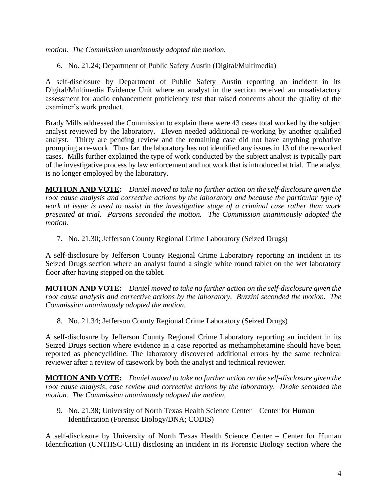*motion. The Commission unanimously adopted the motion.*

6. No. 21.24; Department of Public Safety Austin (Digital/Multimedia)

A self-disclosure by Department of Public Safety Austin reporting an incident in its Digital/Multimedia Evidence Unit where an analyst in the section received an unsatisfactory assessment for audio enhancement proficiency test that raised concerns about the quality of the examiner's work product.

Brady Mills addressed the Commission to explain there were 43 cases total worked by the subject analyst reviewed by the laboratory. Eleven needed additional re-working by another qualified analyst. Thirty are pending review and the remaining case did not have anything probative prompting a re-work. Thus far, the laboratory has not identified any issues in 13 of the re-worked cases. Mills further explained the type of work conducted by the subject analyst is typically part of the investigative process by law enforcement and not work that is introduced at trial. The analyst is no longer employed by the laboratory.

**MOTION AND VOTE:** *Daniel moved to take no further action on the self-disclosure given the root cause analysis and corrective actions by the laboratory and because the particular type of work at issue is used to assist in the investigative stage of a criminal case rather than work presented at trial. Parsons seconded the motion. The Commission unanimously adopted the motion.*

7. No. 21.30; Jefferson County Regional Crime Laboratory (Seized Drugs)

A self-disclosure by Jefferson County Regional Crime Laboratory reporting an incident in its Seized Drugs section where an analyst found a single white round tablet on the wet laboratory floor after having stepped on the tablet.

**MOTION AND VOTE:** *Daniel moved to take no further action on the self-disclosure given the root cause analysis and corrective actions by the laboratory. Buzzini seconded the motion. The Commission unanimously adopted the motion.*

8. No. 21.34; Jefferson County Regional Crime Laboratory (Seized Drugs)

A self-disclosure by Jefferson County Regional Crime Laboratory reporting an incident in its Seized Drugs section where evidence in a case reported as methamphetamine should have been reported as phencyclidine. The laboratory discovered additional errors by the same technical reviewer after a review of casework by both the analyst and technical reviewer.

**MOTION AND VOTE:** *Daniel moved to take no further action on the self-disclosure given the root cause analysis, case review and corrective actions by the laboratory. Drake seconded the motion. The Commission unanimously adopted the motion.*

9. No. 21.38; University of North Texas Health Science Center – Center for Human Identification (Forensic Biology/DNA; CODIS)

A self-disclosure by University of North Texas Health Science Center – Center for Human Identification (UNTHSC-CHI) disclosing an incident in its Forensic Biology section where the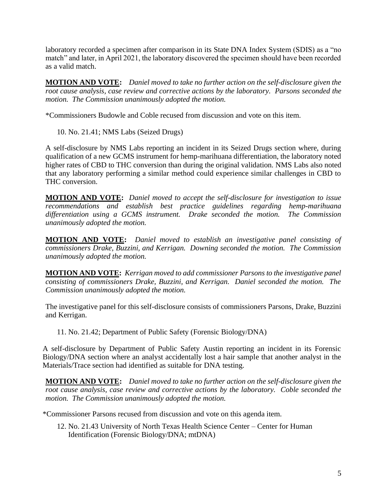laboratory recorded a specimen after comparison in its State DNA Index System (SDIS) as a "no match" and later, in April 2021, the laboratory discovered the specimen should have been recorded as a valid match.

**MOTION AND VOTE:** *Daniel moved to take no further action on the self-disclosure given the root cause analysis, case review and corrective actions by the laboratory. Parsons seconded the motion. The Commission unanimously adopted the motion.*

\*Commissioners Budowle and Coble recused from discussion and vote on this item.

10. No. 21.41; NMS Labs (Seized Drugs)

A self-disclosure by NMS Labs reporting an incident in its Seized Drugs section where, during qualification of a new GCMS instrument for hemp-marihuana differentiation, the laboratory noted higher rates of CBD to THC conversion than during the original validation. NMS Labs also noted that any laboratory performing a similar method could experience similar challenges in CBD to THC conversion.

**MOTION AND VOTE:** *Daniel moved to accept the self-disclosure for investigation to issue recommendations and establish best practice guidelines regarding hemp-marihuana differentiation using a GCMS instrument. Drake seconded the motion. The Commission unanimously adopted the motion.* 

**MOTION AND VOTE:** *Daniel moved to establish an investigative panel consisting of commissioners Drake, Buzzini, and Kerrigan. Downing seconded the motion. The Commission unanimously adopted the motion.* 

**MOTION AND VOTE:** *Kerrigan moved to add commissioner Parsons to the investigative panel consisting of commissioners Drake, Buzzini, and Kerrigan. Daniel seconded the motion. The Commission unanimously adopted the motion.* 

The investigative panel for this self-disclosure consists of commissioners Parsons, Drake, Buzzini and Kerrigan.

11. No. 21.42; Department of Public Safety (Forensic Biology/DNA)

A self-disclosure by Department of Public Safety Austin reporting an incident in its Forensic Biology/DNA section where an analyst accidentally lost a hair sample that another analyst in the Materials/Trace section had identified as suitable for DNA testing.

**MOTION AND VOTE:** *Daniel moved to take no further action on the self-disclosure given the root cause analysis, case review and corrective actions by the laboratory. Coble seconded the motion. The Commission unanimously adopted the motion.*

\*Commissioner Parsons recused from discussion and vote on this agenda item.

12. No. 21.43 University of North Texas Health Science Center – Center for Human Identification (Forensic Biology/DNA; mtDNA)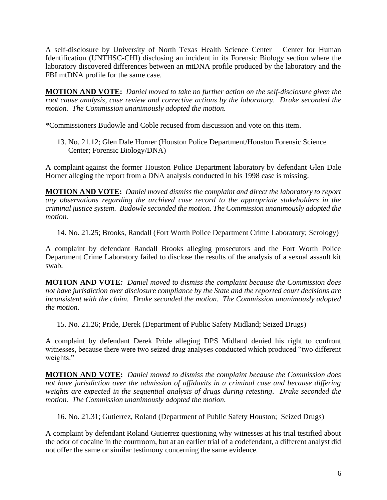A self-disclosure by University of North Texas Health Science Center – Center for Human Identification (UNTHSC-CHI) disclosing an incident in its Forensic Biology section where the laboratory discovered differences between an mtDNA profile produced by the laboratory and the FBI mtDNA profile for the same case.

**MOTION AND VOTE:** *Daniel moved to take no further action on the self-disclosure given the root cause analysis, case review and corrective actions by the laboratory. Drake seconded the motion. The Commission unanimously adopted the motion.*

\*Commissioners Budowle and Coble recused from discussion and vote on this item.

13. No. 21.12; Glen Dale Horner (Houston Police Department/Houston Forensic Science Center; Forensic Biology/DNA)

A complaint against the former Houston Police Department laboratory by defendant Glen Dale Horner alleging the report from a DNA analysis conducted in his 1998 case is missing.

**MOTION AND VOTE:** *Daniel moved dismiss the complaint and direct the laboratory to report any observations regarding the archived case record to the appropriate stakeholders in the criminal justice system. Budowle seconded the motion. The Commission unanimously adopted the motion.*

14. No. 21.25; Brooks, Randall (Fort Worth Police Department Crime Laboratory; Serology)

A complaint by defendant Randall Brooks alleging prosecutors and the Fort Worth Police Department Crime Laboratory failed to disclose the results of the analysis of a sexual assault kit swab.

**MOTION AND VOTE***: Daniel moved to dismiss the complaint because the Commission does not have jurisdiction over disclosure compliance by the State and the reported court decisions are inconsistent with the claim. Drake seconded the motion. The Commission unanimously adopted the motion.*

15. No. 21.26; Pride, Derek (Department of Public Safety Midland; Seized Drugs)

A complaint by defendant Derek Pride alleging DPS Midland denied his right to confront witnesses, because there were two seized drug analyses conducted which produced "two different weights."

**MOTION AND VOTE:** *Daniel moved to dismiss the complaint because the Commission does not have jurisdiction over the admission of affidavits in a criminal case and because differing weights are expected in the sequential analysis of drugs during retesting. Drake seconded the motion. The Commission unanimously adopted the motion.* 

16. No. 21.31; Gutierrez, Roland (Department of Public Safety Houston; Seized Drugs)

A complaint by defendant Roland Gutierrez questioning why witnesses at his trial testified about the odor of cocaine in the courtroom, but at an earlier trial of a codefendant, a different analyst did not offer the same or similar testimony concerning the same evidence.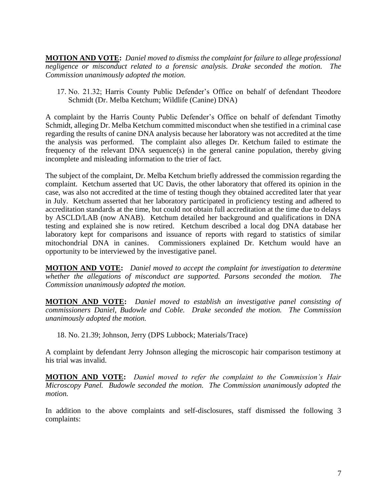**MOTION AND VOTE:** *Daniel moved to dismiss the complaint for failure to allege professional negligence or misconduct related to a forensic analysis. Drake seconded the motion. The Commission unanimously adopted the motion.* 

17. No. 21.32; Harris County Public Defender's Office on behalf of defendant Theodore Schmidt (Dr. Melba Ketchum; Wildlife (Canine) DNA)

A complaint by the Harris County Public Defender's Office on behalf of defendant Timothy Schmidt, alleging Dr. Melba Ketchum committed misconduct when she testified in a criminal case regarding the results of canine DNA analysis because her laboratory was not accredited at the time the analysis was performed. The complaint also alleges Dr. Ketchum failed to estimate the frequency of the relevant DNA sequence(s) in the general canine population, thereby giving incomplete and misleading information to the trier of fact.

The subject of the complaint, Dr. Melba Ketchum briefly addressed the commission regarding the complaint. Ketchum asserted that UC Davis, the other laboratory that offered its opinion in the case, was also not accredited at the time of testing though they obtained accredited later that year in July. Ketchum asserted that her laboratory participated in proficiency testing and adhered to accreditation standards at the time, but could not obtain full accreditation at the time due to delays by ASCLD/LAB (now ANAB). Ketchum detailed her background and qualifications in DNA testing and explained she is now retired. Ketchum described a local dog DNA database her laboratory kept for comparisons and issuance of reports with regard to statistics of similar mitochondrial DNA in canines. Commissioners explained Dr. Ketchum would have an opportunity to be interviewed by the investigative panel.

**MOTION AND VOTE:** *Daniel moved to accept the complaint for investigation to determine whether the allegations of misconduct are supported. Parsons seconded the motion. The Commission unanimously adopted the motion.* 

**MOTION AND VOTE:** *Daniel moved to establish an investigative panel consisting of commissioners Daniel, Budowle and Coble. Drake seconded the motion. The Commission unanimously adopted the motion.* 

18. No. 21.39; Johnson, Jerry (DPS Lubbock; Materials/Trace)

A complaint by defendant Jerry Johnson alleging the microscopic hair comparison testimony at his trial was invalid.

**MOTION AND VOTE:** *Daniel moved to refer the complaint to the Commission's Hair Microscopy Panel. Budowle seconded the motion. The Commission unanimously adopted the motion.* 

In addition to the above complaints and self-disclosures, staff dismissed the following 3 complaints: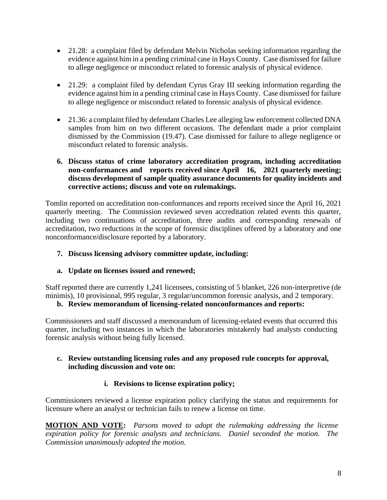- 21.28: a complaint filed by defendant Melvin Nicholas seeking information regarding the evidence against him in a pending criminal case in Hays County. Case dismissed for failure to allege negligence or misconduct related to forensic analysis of physical evidence.
- 21.29: a complaint filed by defendant Cyrus Gray III seeking information regarding the evidence against him in a pending criminal case in Hays County. Case dismissed for failure to allege negligence or misconduct related to forensic analysis of physical evidence.
- 21.36: a complaint filed by defendant Charles Lee alleging law enforcement collected DNA samples from him on two different occasions. The defendant made a prior complaint dismissed by the Commission (19.47). Case dismissed for failure to allege negligence or misconduct related to forensic analysis.

#### **6. Discuss status of crime laboratory accreditation program, including accreditation non-conformances and reports received since April 16, 2021 quarterly meeting; discuss development of sample quality assurance documents for quality incidents and corrective actions; discuss and vote on rulemakings.**

Tomlin reported on accreditation non-conformances and reports received since the April 16, 2021 quarterly meeting. The Commission reviewed seven accreditation related events this quarter, including two continuations of accreditation, three audits and corresponding renewals of accreditation, two reductions in the scope of forensic disciplines offered by a laboratory and one nonconformance/disclosure reported by a laboratory.

**7. Discuss licensing advisory committee update, including:**

# **a. Update on licenses issued and renewed;**

Staff reported there are currently 1,241 licensees, consisting of 5 blanket, 226 non-interpretive (de minimis), 10 provisional, 995 regular, 3 regular/uncommon forensic analysis, and 2 temporary.

#### **b. Review memorandum of licensing-related nonconformances and reports:**

Commissioners and staff discussed a memorandum of licensing-related events that occurred this quarter, including two instances in which the laboratories mistakenly had analysts conducting forensic analysis without being fully licensed.

#### **c. Review outstanding licensing rules and any proposed rule concepts for approval, including discussion and vote on:**

# **i. Revisions to license expiration policy;**

Commissioners reviewed a license expiration policy clarifying the status and requirements for licensure where an analyst or technician fails to renew a license on time.

**MOTION AND VOTE:** *Parsons moved to adopt the rulemaking addressing the license expiration policy for forensic analysts and technicians. Daniel seconded the motion. The Commission unanimously adopted the motion.*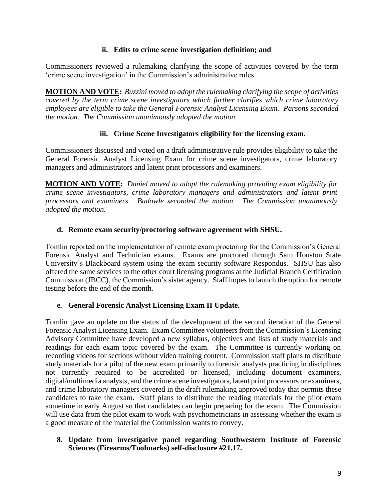#### **ii. Edits to crime scene investigation definition; and**

Commissioners reviewed a rulemaking clarifying the scope of activities covered by the term 'crime scene investigation' in the Commission's administrative rules.

**MOTION AND VOTE:** *Buzzini moved to adopt the rulemaking clarifying the scope of activities covered by the term crime scene investigators which further clarifies which crime laboratory employees are eligible to take the General Forensic Analyst Licensing Exam. Parsons seconded the motion. The Commission unanimously adopted the motion.* 

# **iii. Crime Scene Investigators eligibility for the licensing exam.**

Commissioners discussed and voted on a draft administrative rule provides eligibility to take the General Forensic Analyst Licensing Exam for crime scene investigators, crime laboratory managers and administrators and latent print processors and examiners.

**MOTION AND VOTE:** *Daniel moved to adopt the rulemaking providing exam eligibility for crime scene investigators, crime laboratory managers and administrators and latent print processors and examiners. Budowle seconded the motion. The Commission unanimously adopted the motion.* 

# **d. Remote exam security/proctoring software agreement with SHSU.**

Tomlin reported on the implementation of remote exam proctoring for the Commission's General Forensic Analyst and Technician exams. Exams are proctored through Sam Houston State University's Blackboard system using the exam security software Respondus. SHSU has also offered the same services to the other court licensing programs at the Judicial Branch Certification Commission (JBCC), the Commission's sister agency. Staff hopes to launch the option for remote testing before the end of the month.

# **e. General Forensic Analyst Licensing Exam II Update.**

Tomlin gave an update on the status of the development of the second iteration of the General Forensic Analyst Licensing Exam. Exam Committee volunteers from the Commission's Licensing Advisory Committee have developed a new syllabus, objectives and lists of study materials and readings for each exam topic covered by the exam. The Committee is currently working on recording videos for sections without video training content. Commission staff plans to distribute study materials for a pilot of the new exam primarily to forensic analysts practicing in disciplines not currently required to be accredited or licensed, including document examiners, digital/multimedia analysts, and the crime scene investigators, latent print processors or examiners, and crime laboratory managers covered in the draft rulemaking approved today that permits these candidates to take the exam. Staff plans to distribute the reading materials for the pilot exam sometime in early August so that candidates can begin preparing for the exam. The Commission will use data from the pilot exam to work with psychometricians in assessing whether the exam is a good measure of the material the Commission wants to convey.

#### **8. Update from investigative panel regarding Southwestern Institute of Forensic Sciences (Firearms/Toolmarks) self-disclosure #21.17.**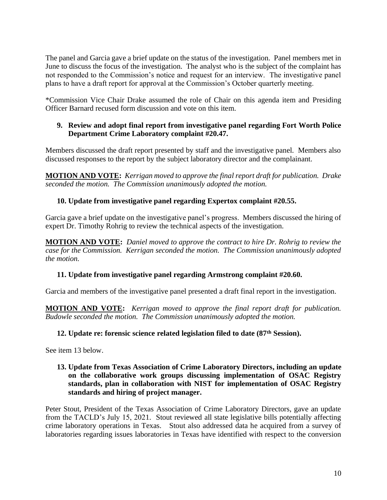The panel and Garcia gave a brief update on the status of the investigation. Panel members met in June to discuss the focus of the investigation. The analyst who is the subject of the complaint has not responded to the Commission's notice and request for an interview. The investigative panel plans to have a draft report for approval at the Commission's October quarterly meeting.

\*Commission Vice Chair Drake assumed the role of Chair on this agenda item and Presiding Officer Barnard recused form discussion and vote on this item.

### **9. Review and adopt final report from investigative panel regarding Fort Worth Police Department Crime Laboratory complaint #20.47.**

Members discussed the draft report presented by staff and the investigative panel. Members also discussed responses to the report by the subject laboratory director and the complainant.

**MOTION AND VOTE:** *Kerrigan moved to approve the final report draft for publication. Drake seconded the motion. The Commission unanimously adopted the motion.* 

# **10. Update from investigative panel regarding Expertox complaint #20.55.**

Garcia gave a brief update on the investigative panel's progress. Members discussed the hiring of expert Dr. Timothy Rohrig to review the technical aspects of the investigation.

**MOTION AND VOTE:** *Daniel moved to approve the contract to hire Dr. Rohrig to review the case for the Commission. Kerrigan seconded the motion. The Commission unanimously adopted the motion.* 

# **11. Update from investigative panel regarding Armstrong complaint #20.60.**

Garcia and members of the investigative panel presented a draft final report in the investigation.

**MOTION AND VOTE:** *Kerrigan moved to approve the final report draft for publication. Budowle seconded the motion. The Commission unanimously adopted the motion.* 

# **12. Update re: forensic science related legislation filed to date (87th Session).**

See item 13 below.

#### **13. Update from Texas Association of Crime Laboratory Directors, including an update on the collaborative work groups discussing implementation of OSAC Registry standards, plan in collaboration with NIST for implementation of OSAC Registry standards and hiring of project manager.**

Peter Stout, President of the Texas Association of Crime Laboratory Directors, gave an update from the TACLD's July 15, 2021. Stout reviewed all state legislative bills potentially affecting crime laboratory operations in Texas. Stout also addressed data he acquired from a survey of laboratories regarding issues laboratories in Texas have identified with respect to the conversion